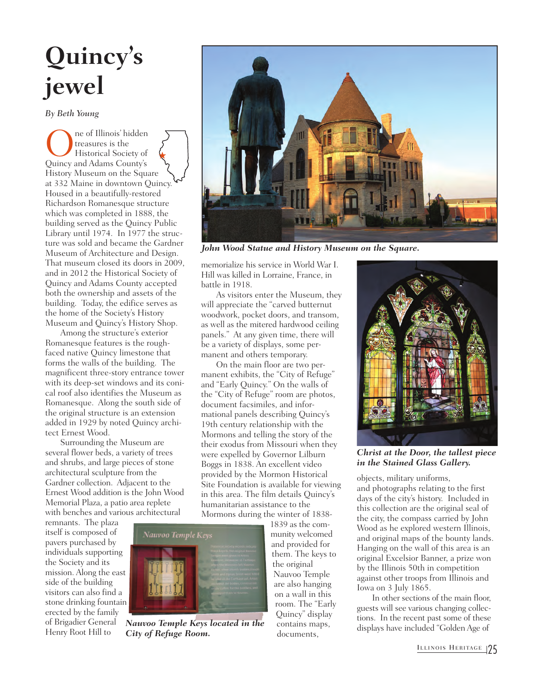## **Quincy's jewel**

*By Beth Young*

**OREC ENGINEER I** reasures is the Historical Society of Quincy and Adams County's treasures is the Historical Society of History Museum on the Square at 332 Maine in downtown Quincy. Housed in a beautifully-restored Richardson Romanesque structure which was completed in 1888, the building served as the Quincy Public Library until 1974. In 1977 the structure was sold and became the Gardner Museum of Architecture and Design. That museum closed its doors in 2009, and in 2012 the Historical Society of Quincy and Adams County accepted both the ownership and assets of the building. Today, the edifice serves as the home of the Society's History Museum and Quincy's History Shop. H

Among the structure's exterior Romanesque features is the roughfaced native Quincy limestone that forms the walls of the building. The magnificent three-story entrance tower with its deep-set windows and its conical roof also identifies the Museum as Romanesque. Along the south side of the original structure is an extension added in 1929 by noted Quincy architect Ernest Wood.

Surrounding the Museum are several flower beds, a variety of trees and shrubs, and large pieces of stone architectural sculpture from the Gardner collection. Adjacent to the Ernest Wood addition is the John Wood Memorial Plaza, a patio area replete with benches and various architectural

remnants. The plaza itself is composed of pavers purchased by individuals supporting the Society and its mission. Along the east side of the building visitors can also find a stone drinking fountain erected by the family of Brigadier General Henry Root Hill to



*Nauvoo Temple Keys located in the City of Refuge Room.*

*John Wood Statue and History Museum on the Square.*

memorialize his service in World War I. Hill was killed in Lorraine, France, in battle in 1918.

As visitors enter the Museum, they will appreciate the "carved butternut woodwork, pocket doors, and transom, as well as the mitered hardwood ceiling panels." At any given time, there will be a variety of displays, some permanent and others temporary.

On the main floor are two permanent exhibits, the "City of Refuge" and "Early Quincy." On the walls of the "City of Refuge" room are photos, document facsimiles, and informational panels describing Quincy's 19th century relationship with the Mormons and telling the story of the their exodus from Missouri when they were expelled by Governor Lilburn Boggs in 1838. An excellent video provided by the Mormon Historical Site Foundation is available for viewing in this area. The film details Quincy's humanitarian assistance to the Mormons during the winter of 1838-

1839 as the community welcomed and provided for them. The keys to the original Nauvoo Temple are also hanging on a wall in this room. The "Early Quincy" display contains maps, documents,



*Christ at the Door, the tallest piece in the Stained Glass Gallery.*

objects, military uniforms,

and photographs relating to the first days of the city's history. Included in this collection are the original seal of the city, the compass carried by John Wood as he explored western Illinois, and original maps of the bounty lands. Hanging on the wall of this area is an original Excelsior Banner, a prize won by the Illinois 50th in competition against other troops from Illinois and Iowa on 3 July 1865.

In other sections of the main floor, guests will see various changing collections. In the recent past some of these displays have included "Golden Age of